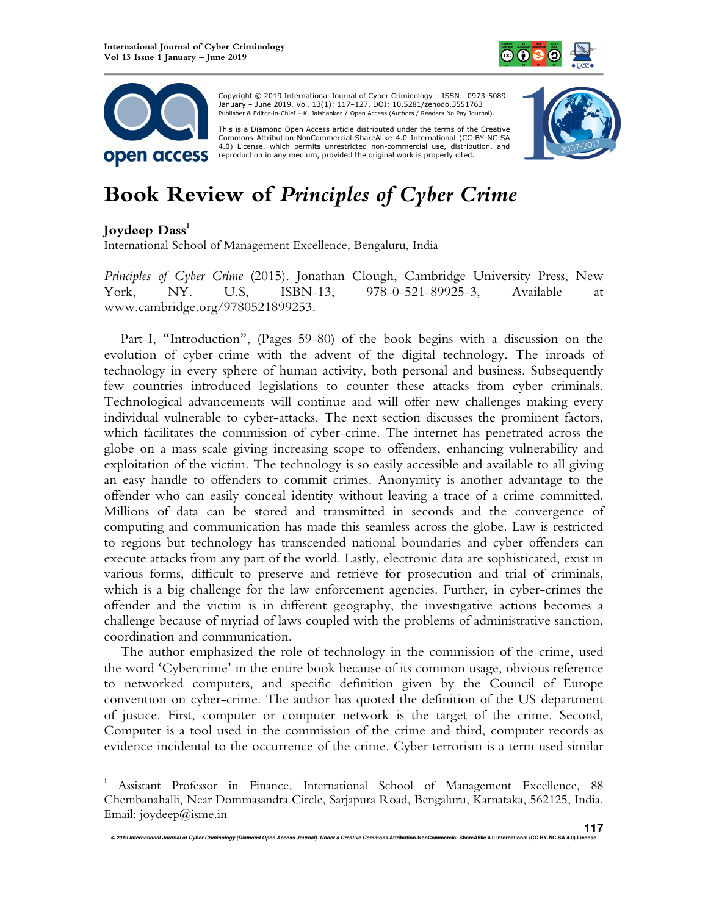



 Copyright © 2019 International Journal of Cyber Criminology – ISSN: 0973-5089 January – June 2019. Vol. 13(1): 117–127. DOI: 10.5281/zenodo.3551763 Publisher & Editor-in-Chief – K. Jaishankar / Open Access (Authors / Readers No Pay Journal).

This is a Diamond Open Access article distributed under the terms of the Creative<br>Commons Attribution-NonCommercial-ShareAlike 4.0 International (CC-BY-NC-SA 4.0) License, which permits unrestricted non-commercial use, distribution, and reproduction in any medium, provided the original work is properly cited.



## **Book Review of** *Principles of Cyber Crime*

## **Joydeep Dass**<sup>1</sup>

 $\overline{a}$ 

International School of Management Excellence, Bengaluru, India

*Principles of Cyber Crime* (2015). Jonathan Clough, Cambridge University Press, New York, NY. U.S, ISBN-13, 978-0-521-89925-3, Available at www.cambridge.org/9780521899253.

Part-I, "Introduction", (Pages 59-80) of the book begins with a discussion on the evolution of cyber-crime with the advent of the digital technology. The inroads of technology in every sphere of human activity, both personal and business. Subsequently few countries introduced legislations to counter these attacks from cyber criminals. Technological advancements will continue and will offer new challenges making every individual vulnerable to cyber-attacks. The next section discusses the prominent factors, which facilitates the commission of cyber-crime. The internet has penetrated across the globe on a mass scale giving increasing scope to offenders, enhancing vulnerability and exploitation of the victim. The technology is so easily accessible and available to all giving an easy handle to offenders to commit crimes. Anonymity is another advantage to the offender who can easily conceal identity without leaving a trace of a crime committed. Millions of data can be stored and transmitted in seconds and the convergence of computing and communication has made this seamless across the globe. Law is restricted to regions but technology has transcended national boundaries and cyber offenders can execute attacks from any part of the world. Lastly, electronic data are sophisticated, exist in various forms, difficult to preserve and retrieve for prosecution and trial of criminals, which is a big challenge for the law enforcement agencies. Further, in cyber-crimes the offender and the victim is in different geography, the investigative actions becomes a challenge because of myriad of laws coupled with the problems of administrative sanction, coordination and communication.

The author emphasized the role of technology in the commission of the crime, used the word 'Cybercrime' in the entire book because of its common usage, obvious reference to networked computers, and specific definition given by the Council of Europe convention on cyber-crime. The author has quoted the definition of the US department of justice. First, computer or computer network is the target of the crime. Second, Computer is a tool used in the commission of the crime and third, computer records as evidence incidental to the occurrence of the crime. Cyber terrorism is a term used similar

<sup>1</sup> Assistant Professor in Finance, International School of Management Excellence, 88 Chembanahalli, Near Dommasandra Circle, Sarjapura Road, Bengaluru, Karnataka, 562125, India. Email: joydeep@isme.in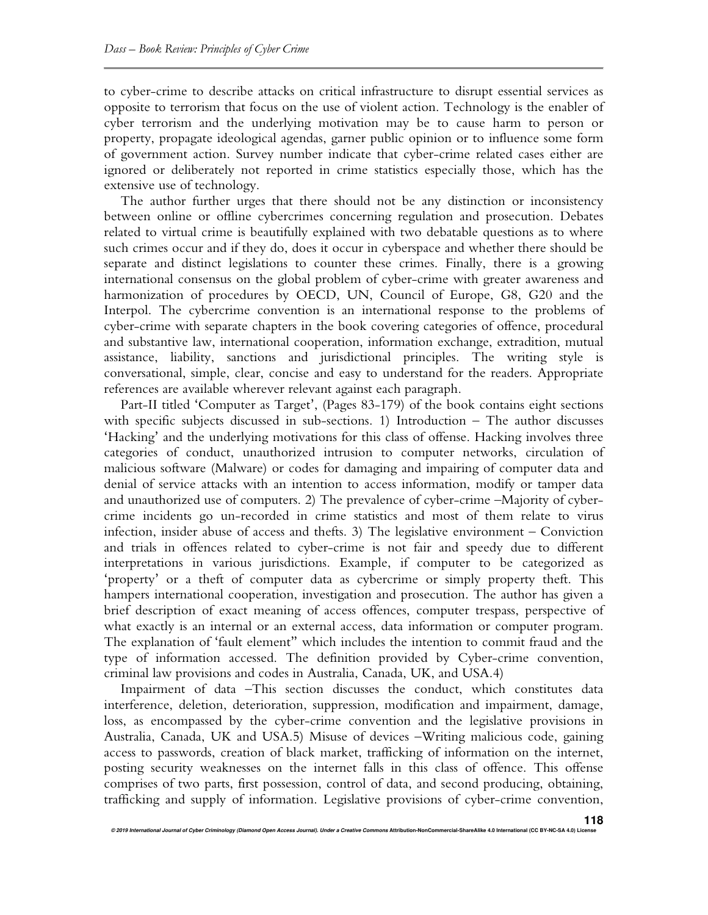to cyber-crime to describe attacks on critical infrastructure to disrupt essential services as opposite to terrorism that focus on the use of violent action. Technology is the enabler of cyber terrorism and the underlying motivation may be to cause harm to person or property, propagate ideological agendas, garner public opinion or to influence some form of government action. Survey number indicate that cyber-crime related cases either are ignored or deliberately not reported in crime statistics especially those, which has the extensive use of technology.

The author further urges that there should not be any distinction or inconsistency between online or offline cybercrimes concerning regulation and prosecution. Debates related to virtual crime is beautifully explained with two debatable questions as to where such crimes occur and if they do, does it occur in cyberspace and whether there should be separate and distinct legislations to counter these crimes. Finally, there is a growing international consensus on the global problem of cyber-crime with greater awareness and harmonization of procedures by OECD, UN, Council of Europe, G8, G20 and the Interpol. The cybercrime convention is an international response to the problems of cyber-crime with separate chapters in the book covering categories of offence, procedural and substantive law, international cooperation, information exchange, extradition, mutual assistance, liability, sanctions and jurisdictional principles. The writing style is conversational, simple, clear, concise and easy to understand for the readers. Appropriate references are available wherever relevant against each paragraph.

Part-II titled 'Computer as Target', (Pages 83-179) of the book contains eight sections with specific subjects discussed in sub-sections. 1) Introduction – The author discusses 'Hacking' and the underlying motivations for this class of offense. Hacking involves three categories of conduct, unauthorized intrusion to computer networks, circulation of malicious software (Malware) or codes for damaging and impairing of computer data and denial of service attacks with an intention to access information, modify or tamper data and unauthorized use of computers. 2) The prevalence of cyber-crime –Majority of cybercrime incidents go un-recorded in crime statistics and most of them relate to virus infection, insider abuse of access and thefts. 3) The legislative environment – Conviction and trials in offences related to cyber-crime is not fair and speedy due to different interpretations in various jurisdictions. Example, if computer to be categorized as 'property' or a theft of computer data as cybercrime or simply property theft. This hampers international cooperation, investigation and prosecution. The author has given a brief description of exact meaning of access offences, computer trespass, perspective of what exactly is an internal or an external access, data information or computer program. The explanation of 'fault element" which includes the intention to commit fraud and the type of information accessed. The definition provided by Cyber-crime convention, criminal law provisions and codes in Australia, Canada, UK, and USA.4)

Impairment of data –This section discusses the conduct, which constitutes data interference, deletion, deterioration, suppression, modification and impairment, damage, loss, as encompassed by the cyber-crime convention and the legislative provisions in Australia, Canada, UK and USA.5) Misuse of devices –Writing malicious code, gaining access to passwords, creation of black market, trafficking of information on the internet, posting security weaknesses on the internet falls in this class of offence. This offense comprises of two parts, first possession, control of data, and second producing, obtaining, trafficking and supply of information. Legislative provisions of cyber-crime convention,

**© 2019 International Journal of Cyber Criminology (Diamond Open Access Journal). Under a Creative Commons Attribution-NonCommercial-ShareAlike 4.0 International (CC BY-NC-SA 4.0) License**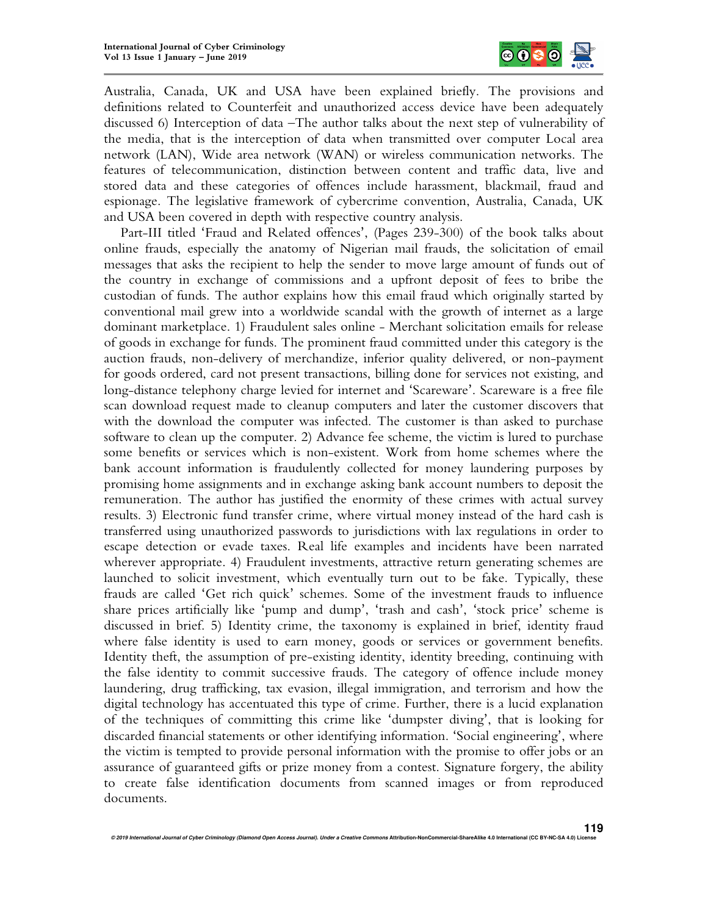

Australia, Canada, UK and USA have been explained briefly. The provisions and definitions related to Counterfeit and unauthorized access device have been adequately discussed 6) Interception of data –The author talks about the next step of vulnerability of the media, that is the interception of data when transmitted over computer Local area network (LAN), Wide area network (WAN) or wireless communication networks. The features of telecommunication, distinction between content and traffic data, live and stored data and these categories of offences include harassment, blackmail, fraud and espionage. The legislative framework of cybercrime convention, Australia, Canada, UK and USA been covered in depth with respective country analysis.

Part-III titled 'Fraud and Related offences', (Pages 239-300) of the book talks about online frauds, especially the anatomy of Nigerian mail frauds, the solicitation of email messages that asks the recipient to help the sender to move large amount of funds out of the country in exchange of commissions and a upfront deposit of fees to bribe the custodian of funds. The author explains how this email fraud which originally started by conventional mail grew into a worldwide scandal with the growth of internet as a large dominant marketplace. 1) Fraudulent sales online - Merchant solicitation emails for release of goods in exchange for funds. The prominent fraud committed under this category is the auction frauds, non-delivery of merchandize, inferior quality delivered, or non-payment for goods ordered, card not present transactions, billing done for services not existing, and long-distance telephony charge levied for internet and 'Scareware'. Scareware is a free file scan download request made to cleanup computers and later the customer discovers that with the download the computer was infected. The customer is than asked to purchase software to clean up the computer. 2) Advance fee scheme, the victim is lured to purchase some benefits or services which is non-existent. Work from home schemes where the bank account information is fraudulently collected for money laundering purposes by promising home assignments and in exchange asking bank account numbers to deposit the remuneration. The author has justified the enormity of these crimes with actual survey results. 3) Electronic fund transfer crime, where virtual money instead of the hard cash is transferred using unauthorized passwords to jurisdictions with lax regulations in order to escape detection or evade taxes. Real life examples and incidents have been narrated wherever appropriate. 4) Fraudulent investments, attractive return generating schemes are launched to solicit investment, which eventually turn out to be fake. Typically, these frauds are called 'Get rich quick' schemes. Some of the investment frauds to influence share prices artificially like 'pump and dump', 'trash and cash', 'stock price' scheme is discussed in brief. 5) Identity crime, the taxonomy is explained in brief, identity fraud where false identity is used to earn money, goods or services or government benefits. Identity theft, the assumption of pre-existing identity, identity breeding, continuing with the false identity to commit successive frauds. The category of offence include money laundering, drug trafficking, tax evasion, illegal immigration, and terrorism and how the digital technology has accentuated this type of crime. Further, there is a lucid explanation of the techniques of committing this crime like 'dumpster diving', that is looking for discarded financial statements or other identifying information. 'Social engineering', where the victim is tempted to provide personal information with the promise to offer jobs or an assurance of guaranteed gifts or prize money from a contest. Signature forgery, the ability to create false identification documents from scanned images or from reproduced documents.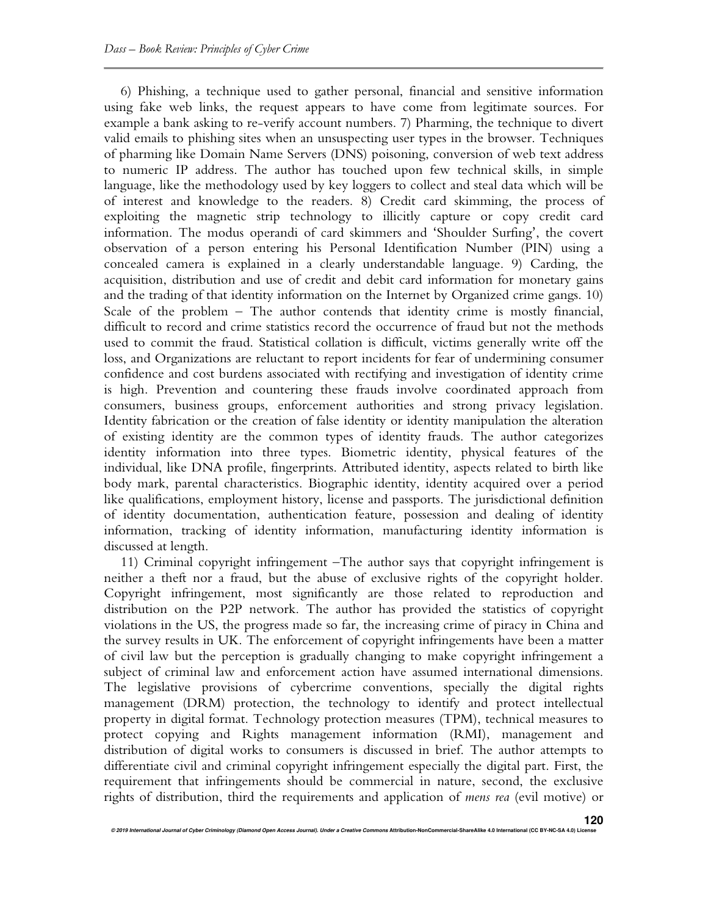6) Phishing, a technique used to gather personal, financial and sensitive information using fake web links, the request appears to have come from legitimate sources. For example a bank asking to re-verify account numbers. 7) Pharming, the technique to divert valid emails to phishing sites when an unsuspecting user types in the browser. Techniques of pharming like Domain Name Servers (DNS) poisoning, conversion of web text address to numeric IP address. The author has touched upon few technical skills, in simple language, like the methodology used by key loggers to collect and steal data which will be of interest and knowledge to the readers. 8) Credit card skimming, the process of exploiting the magnetic strip technology to illicitly capture or copy credit card information. The modus operandi of card skimmers and 'Shoulder Surfing', the covert observation of a person entering his Personal Identification Number (PIN) using a concealed camera is explained in a clearly understandable language. 9) Carding, the acquisition, distribution and use of credit and debit card information for monetary gains and the trading of that identity information on the Internet by Organized crime gangs. 10) Scale of the problem – The author contends that identity crime is mostly financial, difficult to record and crime statistics record the occurrence of fraud but not the methods used to commit the fraud. Statistical collation is difficult, victims generally write off the loss, and Organizations are reluctant to report incidents for fear of undermining consumer confidence and cost burdens associated with rectifying and investigation of identity crime is high. Prevention and countering these frauds involve coordinated approach from consumers, business groups, enforcement authorities and strong privacy legislation. Identity fabrication or the creation of false identity or identity manipulation the alteration of existing identity are the common types of identity frauds. The author categorizes identity information into three types. Biometric identity, physical features of the individual, like DNA profile, fingerprints. Attributed identity, aspects related to birth like body mark, parental characteristics. Biographic identity, identity acquired over a period like qualifications, employment history, license and passports. The jurisdictional definition of identity documentation, authentication feature, possession and dealing of identity information, tracking of identity information, manufacturing identity information is discussed at length.

11) Criminal copyright infringement –The author says that copyright infringement is neither a theft nor a fraud, but the abuse of exclusive rights of the copyright holder. Copyright infringement, most significantly are those related to reproduction and distribution on the P2P network. The author has provided the statistics of copyright violations in the US, the progress made so far, the increasing crime of piracy in China and the survey results in UK. The enforcement of copyright infringements have been a matter of civil law but the perception is gradually changing to make copyright infringement a subject of criminal law and enforcement action have assumed international dimensions. The legislative provisions of cybercrime conventions, specially the digital rights management (DRM) protection, the technology to identify and protect intellectual property in digital format. Technology protection measures (TPM), technical measures to protect copying and Rights management information (RMI), management and distribution of digital works to consumers is discussed in brief. The author attempts to differentiate civil and criminal copyright infringement especially the digital part. First, the requirement that infringements should be commercial in nature, second, the exclusive rights of distribution, third the requirements and application of *mens rea* (evil motive) or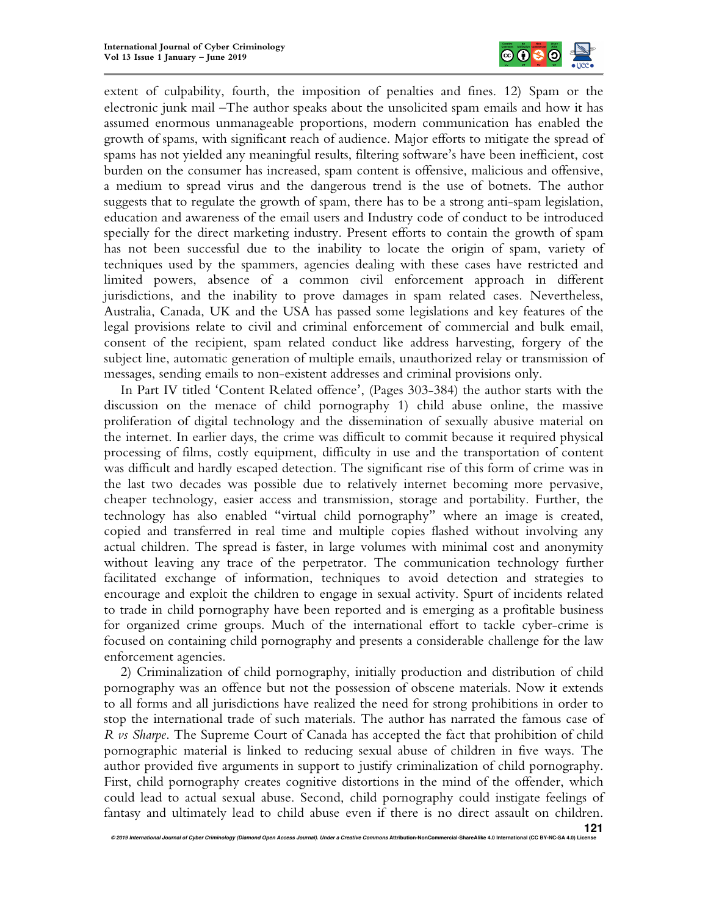

extent of culpability, fourth, the imposition of penalties and fines. 12) Spam or the electronic junk mail –The author speaks about the unsolicited spam emails and how it has assumed enormous unmanageable proportions, modern communication has enabled the growth of spams, with significant reach of audience. Major efforts to mitigate the spread of spams has not yielded any meaningful results, filtering software's have been inefficient, cost burden on the consumer has increased, spam content is offensive, malicious and offensive, a medium to spread virus and the dangerous trend is the use of botnets. The author suggests that to regulate the growth of spam, there has to be a strong anti-spam legislation, education and awareness of the email users and Industry code of conduct to be introduced specially for the direct marketing industry. Present efforts to contain the growth of spam has not been successful due to the inability to locate the origin of spam, variety of techniques used by the spammers, agencies dealing with these cases have restricted and limited powers, absence of a common civil enforcement approach in different jurisdictions, and the inability to prove damages in spam related cases. Nevertheless, Australia, Canada, UK and the USA has passed some legislations and key features of the legal provisions relate to civil and criminal enforcement of commercial and bulk email, consent of the recipient, spam related conduct like address harvesting, forgery of the subject line, automatic generation of multiple emails, unauthorized relay or transmission of messages, sending emails to non-existent addresses and criminal provisions only.

In Part IV titled 'Content Related offence', (Pages 303-384) the author starts with the discussion on the menace of child pornography 1) child abuse online, the massive proliferation of digital technology and the dissemination of sexually abusive material on the internet. In earlier days, the crime was difficult to commit because it required physical processing of films, costly equipment, difficulty in use and the transportation of content was difficult and hardly escaped detection. The significant rise of this form of crime was in the last two decades was possible due to relatively internet becoming more pervasive, cheaper technology, easier access and transmission, storage and portability. Further, the technology has also enabled "virtual child pornography" where an image is created, copied and transferred in real time and multiple copies flashed without involving any actual children. The spread is faster, in large volumes with minimal cost and anonymity without leaving any trace of the perpetrator. The communication technology further facilitated exchange of information, techniques to avoid detection and strategies to encourage and exploit the children to engage in sexual activity. Spurt of incidents related to trade in child pornography have been reported and is emerging as a profitable business for organized crime groups. Much of the international effort to tackle cyber-crime is focused on containing child pornography and presents a considerable challenge for the law enforcement agencies.

2) Criminalization of child pornography, initially production and distribution of child pornography was an offence but not the possession of obscene materials. Now it extends to all forms and all jurisdictions have realized the need for strong prohibitions in order to stop the international trade of such materials. The author has narrated the famous case of *R vs Sharpe*. The Supreme Court of Canada has accepted the fact that prohibition of child pornographic material is linked to reducing sexual abuse of children in five ways. The author provided five arguments in support to justify criminalization of child pornography. First, child pornography creates cognitive distortions in the mind of the offender, which could lead to actual sexual abuse. Second, child pornography could instigate feelings of fantasy and ultimately lead to child abuse even if there is no direct assault on children.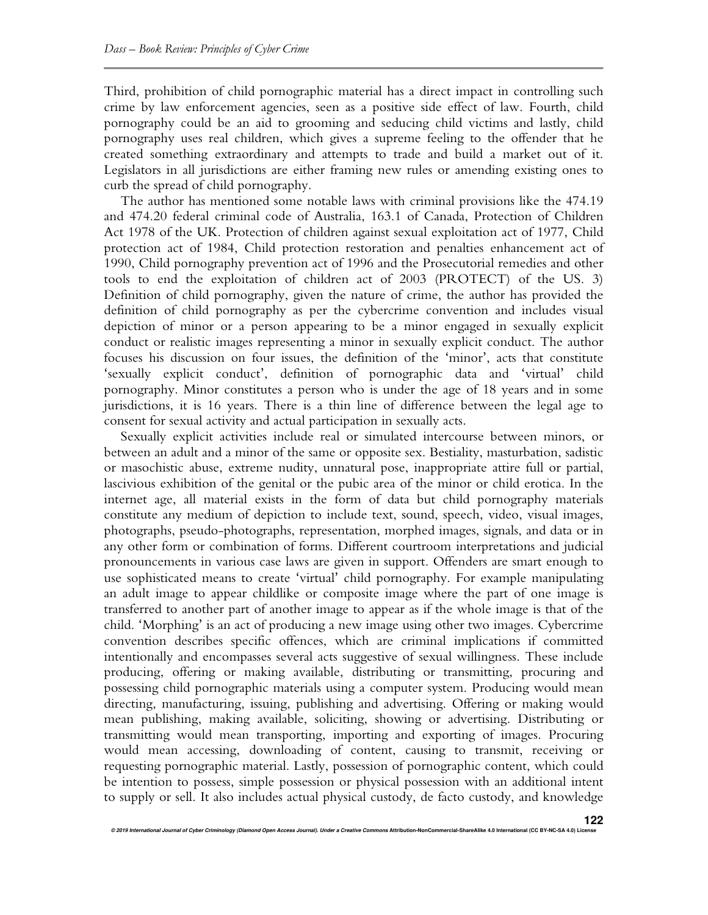Third, prohibition of child pornographic material has a direct impact in controlling such crime by law enforcement agencies, seen as a positive side effect of law. Fourth, child pornography could be an aid to grooming and seducing child victims and lastly, child pornography uses real children, which gives a supreme feeling to the offender that he created something extraordinary and attempts to trade and build a market out of it. Legislators in all jurisdictions are either framing new rules or amending existing ones to curb the spread of child pornography.

The author has mentioned some notable laws with criminal provisions like the 474.19 and 474.20 federal criminal code of Australia, 163.1 of Canada, Protection of Children Act 1978 of the UK. Protection of children against sexual exploitation act of 1977, Child protection act of 1984, Child protection restoration and penalties enhancement act of 1990, Child pornography prevention act of 1996 and the Prosecutorial remedies and other tools to end the exploitation of children act of 2003 (PROTECT) of the US. 3) Definition of child pornography, given the nature of crime, the author has provided the definition of child pornography as per the cybercrime convention and includes visual depiction of minor or a person appearing to be a minor engaged in sexually explicit conduct or realistic images representing a minor in sexually explicit conduct. The author focuses his discussion on four issues, the definition of the 'minor', acts that constitute 'sexually explicit conduct', definition of pornographic data and 'virtual' child pornography. Minor constitutes a person who is under the age of 18 years and in some jurisdictions, it is 16 years. There is a thin line of difference between the legal age to consent for sexual activity and actual participation in sexually acts.

Sexually explicit activities include real or simulated intercourse between minors, or between an adult and a minor of the same or opposite sex. Bestiality, masturbation, sadistic or masochistic abuse, extreme nudity, unnatural pose, inappropriate attire full or partial, lascivious exhibition of the genital or the pubic area of the minor or child erotica. In the internet age, all material exists in the form of data but child pornography materials constitute any medium of depiction to include text, sound, speech, video, visual images, photographs, pseudo-photographs, representation, morphed images, signals, and data or in any other form or combination of forms. Different courtroom interpretations and judicial pronouncements in various case laws are given in support. Offenders are smart enough to use sophisticated means to create 'virtual' child pornography. For example manipulating an adult image to appear childlike or composite image where the part of one image is transferred to another part of another image to appear as if the whole image is that of the child. 'Morphing' is an act of producing a new image using other two images. Cybercrime convention describes specific offences, which are criminal implications if committed intentionally and encompasses several acts suggestive of sexual willingness. These include producing, offering or making available, distributing or transmitting, procuring and possessing child pornographic materials using a computer system. Producing would mean directing, manufacturing, issuing, publishing and advertising. Offering or making would mean publishing, making available, soliciting, showing or advertising. Distributing or transmitting would mean transporting, importing and exporting of images. Procuring would mean accessing, downloading of content, causing to transmit, receiving or requesting pornographic material. Lastly, possession of pornographic content, which could be intention to possess, simple possession or physical possession with an additional intent to supply or sell. It also includes actual physical custody, de facto custody, and knowledge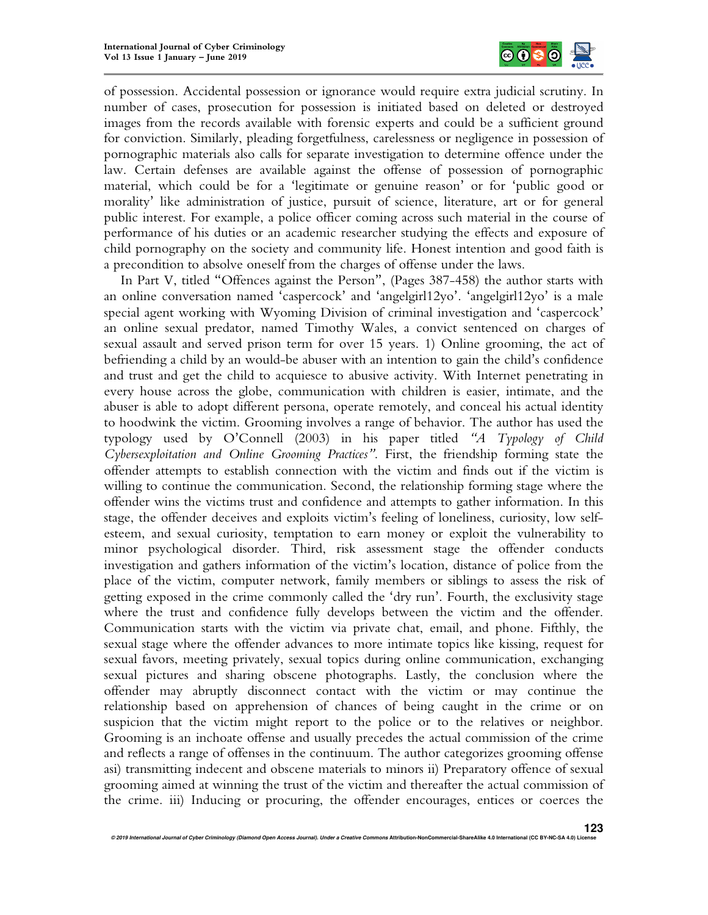

of possession. Accidental possession or ignorance would require extra judicial scrutiny. In number of cases, prosecution for possession is initiated based on deleted or destroyed images from the records available with forensic experts and could be a sufficient ground for conviction. Similarly, pleading forgetfulness, carelessness or negligence in possession of pornographic materials also calls for separate investigation to determine offence under the law. Certain defenses are available against the offense of possession of pornographic material, which could be for a 'legitimate or genuine reason' or for 'public good or morality' like administration of justice, pursuit of science, literature, art or for general public interest. For example, a police officer coming across such material in the course of performance of his duties or an academic researcher studying the effects and exposure of child pornography on the society and community life. Honest intention and good faith is a precondition to absolve oneself from the charges of offense under the laws.

In Part V, titled "Offences against the Person", (Pages 387-458) the author starts with an online conversation named 'caspercock' and 'angelgirl12yo'. 'angelgirl12yo' is a male special agent working with Wyoming Division of criminal investigation and 'caspercock' an online sexual predator, named Timothy Wales, a convict sentenced on charges of sexual assault and served prison term for over 15 years. 1) Online grooming, the act of befriending a child by an would-be abuser with an intention to gain the child's confidence and trust and get the child to acquiesce to abusive activity. With Internet penetrating in every house across the globe, communication with children is easier, intimate, and the abuser is able to adopt different persona, operate remotely, and conceal his actual identity to hoodwink the victim. Grooming involves a range of behavior. The author has used the typology used by O'Connell (2003) in his paper titled *"A Typology of Child Cybersexploitation and Online Grooming Practices"*. First, the friendship forming state the offender attempts to establish connection with the victim and finds out if the victim is willing to continue the communication. Second, the relationship forming stage where the offender wins the victims trust and confidence and attempts to gather information. In this stage, the offender deceives and exploits victim's feeling of loneliness, curiosity, low selfesteem, and sexual curiosity, temptation to earn money or exploit the vulnerability to minor psychological disorder. Third, risk assessment stage the offender conducts investigation and gathers information of the victim's location, distance of police from the place of the victim, computer network, family members or siblings to assess the risk of getting exposed in the crime commonly called the 'dry run'. Fourth, the exclusivity stage where the trust and confidence fully develops between the victim and the offender. Communication starts with the victim via private chat, email, and phone. Fifthly, the sexual stage where the offender advances to more intimate topics like kissing, request for sexual favors, meeting privately, sexual topics during online communication, exchanging sexual pictures and sharing obscene photographs. Lastly, the conclusion where the offender may abruptly disconnect contact with the victim or may continue the relationship based on apprehension of chances of being caught in the crime or on suspicion that the victim might report to the police or to the relatives or neighbor. Grooming is an inchoate offense and usually precedes the actual commission of the crime and reflects a range of offenses in the continuum. The author categorizes grooming offense asi) transmitting indecent and obscene materials to minors ii) Preparatory offence of sexual grooming aimed at winning the trust of the victim and thereafter the actual commission of the crime. iii) Inducing or procuring, the offender encourages, entices or coerces the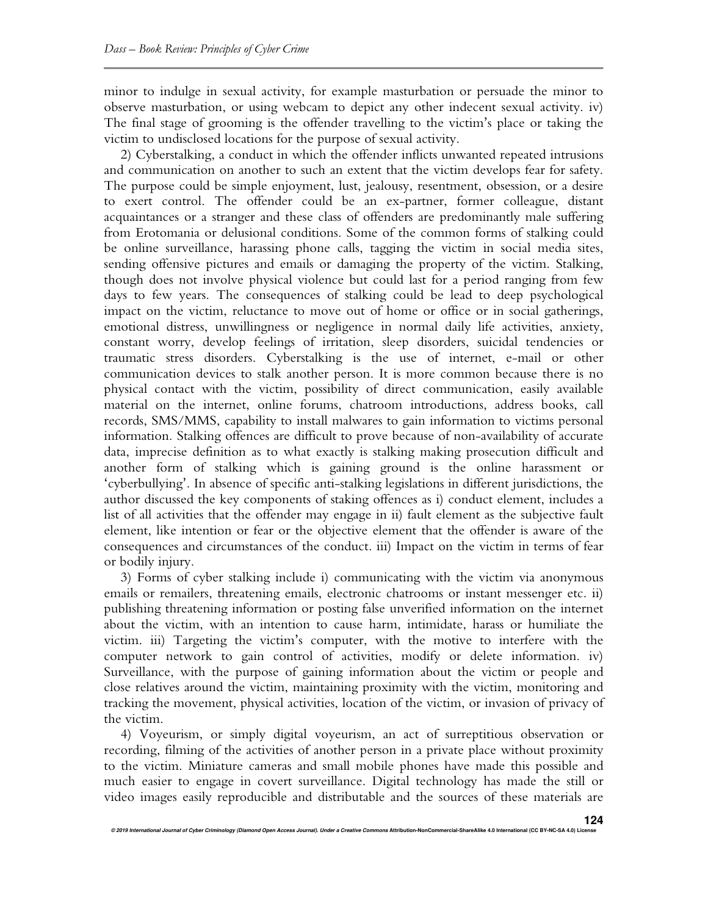minor to indulge in sexual activity, for example masturbation or persuade the minor to observe masturbation, or using webcam to depict any other indecent sexual activity. iv) The final stage of grooming is the offender travelling to the victim's place or taking the victim to undisclosed locations for the purpose of sexual activity.

2) Cyberstalking, a conduct in which the offender inflicts unwanted repeated intrusions and communication on another to such an extent that the victim develops fear for safety. The purpose could be simple enjoyment, lust, jealousy, resentment, obsession, or a desire to exert control. The offender could be an ex-partner, former colleague, distant acquaintances or a stranger and these class of offenders are predominantly male suffering from Erotomania or delusional conditions. Some of the common forms of stalking could be online surveillance, harassing phone calls, tagging the victim in social media sites, sending offensive pictures and emails or damaging the property of the victim. Stalking, though does not involve physical violence but could last for a period ranging from few days to few years. The consequences of stalking could be lead to deep psychological impact on the victim, reluctance to move out of home or office or in social gatherings, emotional distress, unwillingness or negligence in normal daily life activities, anxiety, constant worry, develop feelings of irritation, sleep disorders, suicidal tendencies or traumatic stress disorders. Cyberstalking is the use of internet, e-mail or other communication devices to stalk another person. It is more common because there is no physical contact with the victim, possibility of direct communication, easily available material on the internet, online forums, chatroom introductions, address books, call records, SMS/MMS, capability to install malwares to gain information to victims personal information. Stalking offences are difficult to prove because of non-availability of accurate data, imprecise definition as to what exactly is stalking making prosecution difficult and another form of stalking which is gaining ground is the online harassment or 'cyberbullying'. In absence of specific anti-stalking legislations in different jurisdictions, the author discussed the key components of staking offences as i) conduct element, includes a list of all activities that the offender may engage in ii) fault element as the subjective fault element, like intention or fear or the objective element that the offender is aware of the consequences and circumstances of the conduct. iii) Impact on the victim in terms of fear or bodily injury.

3) Forms of cyber stalking include i) communicating with the victim via anonymous emails or remailers, threatening emails, electronic chatrooms or instant messenger etc. ii) publishing threatening information or posting false unverified information on the internet about the victim, with an intention to cause harm, intimidate, harass or humiliate the victim. iii) Targeting the victim's computer, with the motive to interfere with the computer network to gain control of activities, modify or delete information. iv) Surveillance, with the purpose of gaining information about the victim or people and close relatives around the victim, maintaining proximity with the victim, monitoring and tracking the movement, physical activities, location of the victim, or invasion of privacy of the victim.

4) Voyeurism, or simply digital voyeurism, an act of surreptitious observation or recording, filming of the activities of another person in a private place without proximity to the victim. Miniature cameras and small mobile phones have made this possible and much easier to engage in covert surveillance. Digital technology has made the still or video images easily reproducible and distributable and the sources of these materials are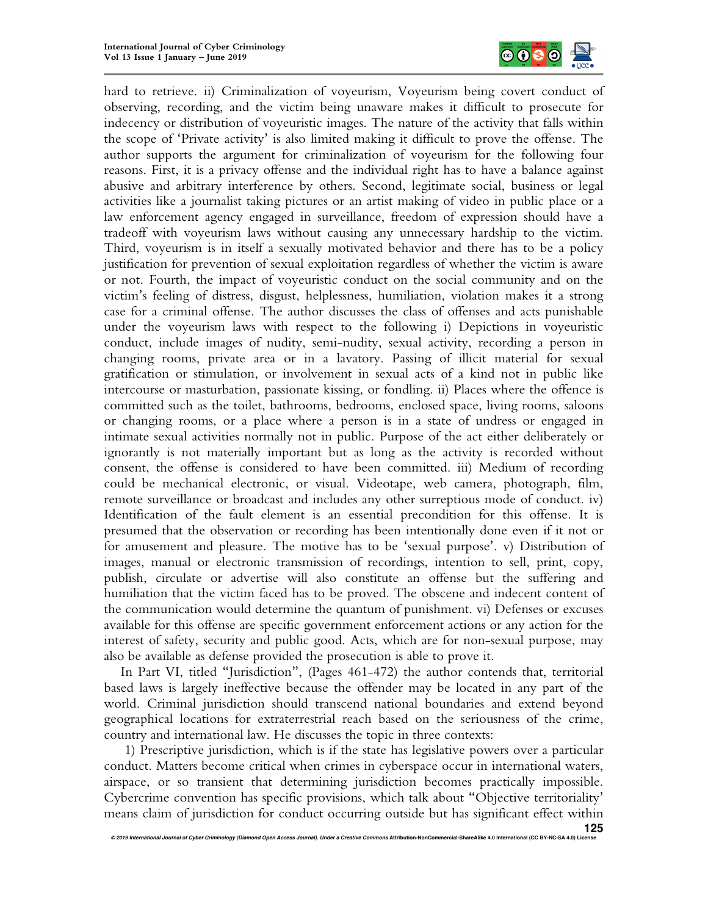

hard to retrieve. ii) Criminalization of voyeurism, Voyeurism being covert conduct of observing, recording, and the victim being unaware makes it difficult to prosecute for indecency or distribution of voyeuristic images. The nature of the activity that falls within the scope of 'Private activity' is also limited making it difficult to prove the offense. The author supports the argument for criminalization of voyeurism for the following four reasons. First, it is a privacy offense and the individual right has to have a balance against abusive and arbitrary interference by others. Second, legitimate social, business or legal activities like a journalist taking pictures or an artist making of video in public place or a law enforcement agency engaged in surveillance, freedom of expression should have a tradeoff with voyeurism laws without causing any unnecessary hardship to the victim. Third, voyeurism is in itself a sexually motivated behavior and there has to be a policy justification for prevention of sexual exploitation regardless of whether the victim is aware or not. Fourth, the impact of voyeuristic conduct on the social community and on the victim's feeling of distress, disgust, helplessness, humiliation, violation makes it a strong case for a criminal offense. The author discusses the class of offenses and acts punishable under the voyeurism laws with respect to the following i) Depictions in voyeuristic conduct, include images of nudity, semi-nudity, sexual activity, recording a person in changing rooms, private area or in a lavatory. Passing of illicit material for sexual gratification or stimulation, or involvement in sexual acts of a kind not in public like intercourse or masturbation, passionate kissing, or fondling. ii) Places where the offence is committed such as the toilet, bathrooms, bedrooms, enclosed space, living rooms, saloons or changing rooms, or a place where a person is in a state of undress or engaged in intimate sexual activities normally not in public. Purpose of the act either deliberately or ignorantly is not materially important but as long as the activity is recorded without consent, the offense is considered to have been committed. iii) Medium of recording could be mechanical electronic, or visual. Videotape, web camera, photograph, film, remote surveillance or broadcast and includes any other surreptious mode of conduct. iv) Identification of the fault element is an essential precondition for this offense. It is presumed that the observation or recording has been intentionally done even if it not or for amusement and pleasure. The motive has to be 'sexual purpose'. v) Distribution of images, manual or electronic transmission of recordings, intention to sell, print, copy, publish, circulate or advertise will also constitute an offense but the suffering and humiliation that the victim faced has to be proved. The obscene and indecent content of the communication would determine the quantum of punishment. vi) Defenses or excuses available for this offense are specific government enforcement actions or any action for the interest of safety, security and public good. Acts, which are for non-sexual purpose, may also be available as defense provided the prosecution is able to prove it.

In Part VI, titled "Jurisdiction", (Pages 461-472) the author contends that, territorial based laws is largely ineffective because the offender may be located in any part of the world. Criminal jurisdiction should transcend national boundaries and extend beyond geographical locations for extraterrestrial reach based on the seriousness of the crime, country and international law. He discusses the topic in three contexts:

 1) Prescriptive jurisdiction, which is if the state has legislative powers over a particular conduct. Matters become critical when crimes in cyberspace occur in international waters, airspace, or so transient that determining jurisdiction becomes practically impossible. Cybercrime convention has specific provisions, which talk about "Objective territoriality' means claim of jurisdiction for conduct occurring outside but has significant effect within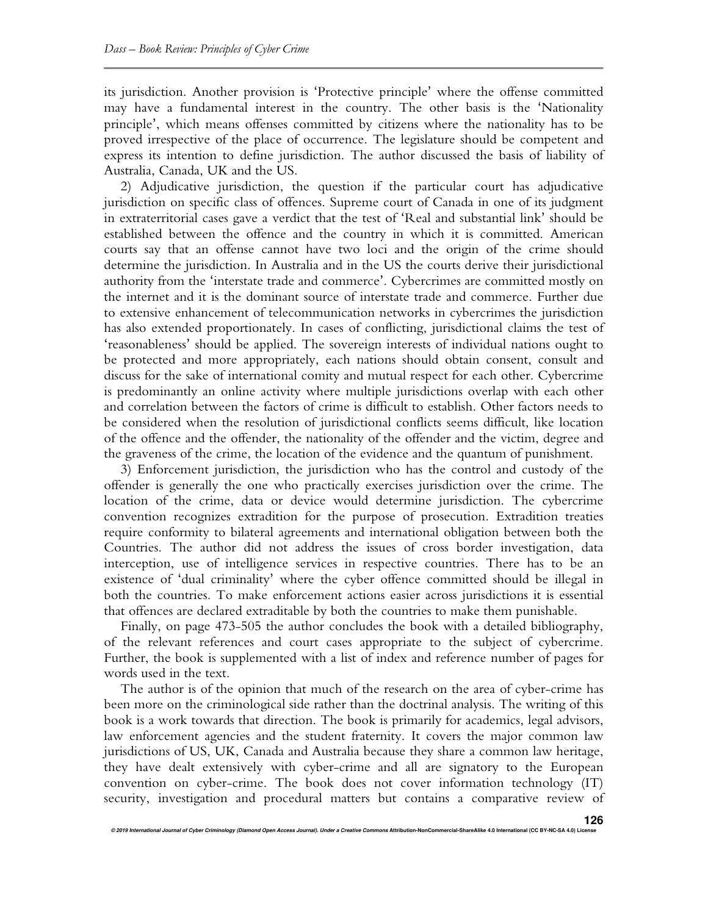its jurisdiction. Another provision is 'Protective principle' where the offense committed may have a fundamental interest in the country. The other basis is the 'Nationality principle', which means offenses committed by citizens where the nationality has to be proved irrespective of the place of occurrence. The legislature should be competent and express its intention to define jurisdiction. The author discussed the basis of liability of Australia, Canada, UK and the US.

2) Adjudicative jurisdiction, the question if the particular court has adjudicative jurisdiction on specific class of offences. Supreme court of Canada in one of its judgment in extraterritorial cases gave a verdict that the test of 'Real and substantial link' should be established between the offence and the country in which it is committed. American courts say that an offense cannot have two loci and the origin of the crime should determine the jurisdiction. In Australia and in the US the courts derive their jurisdictional authority from the 'interstate trade and commerce'. Cybercrimes are committed mostly on the internet and it is the dominant source of interstate trade and commerce. Further due to extensive enhancement of telecommunication networks in cybercrimes the jurisdiction has also extended proportionately. In cases of conflicting, jurisdictional claims the test of 'reasonableness' should be applied. The sovereign interests of individual nations ought to be protected and more appropriately, each nations should obtain consent, consult and discuss for the sake of international comity and mutual respect for each other. Cybercrime is predominantly an online activity where multiple jurisdictions overlap with each other and correlation between the factors of crime is difficult to establish. Other factors needs to be considered when the resolution of jurisdictional conflicts seems difficult, like location of the offence and the offender, the nationality of the offender and the victim, degree and the graveness of the crime, the location of the evidence and the quantum of punishment.

3) Enforcement jurisdiction, the jurisdiction who has the control and custody of the offender is generally the one who practically exercises jurisdiction over the crime. The location of the crime, data or device would determine jurisdiction. The cybercrime convention recognizes extradition for the purpose of prosecution. Extradition treaties require conformity to bilateral agreements and international obligation between both the Countries. The author did not address the issues of cross border investigation, data interception, use of intelligence services in respective countries. There has to be an existence of 'dual criminality' where the cyber offence committed should be illegal in both the countries. To make enforcement actions easier across jurisdictions it is essential that offences are declared extraditable by both the countries to make them punishable.

Finally, on page 473-505 the author concludes the book with a detailed bibliography, of the relevant references and court cases appropriate to the subject of cybercrime. Further, the book is supplemented with a list of index and reference number of pages for words used in the text.

The author is of the opinion that much of the research on the area of cyber-crime has been more on the criminological side rather than the doctrinal analysis. The writing of this book is a work towards that direction. The book is primarily for academics, legal advisors, law enforcement agencies and the student fraternity. It covers the major common law jurisdictions of US, UK, Canada and Australia because they share a common law heritage, they have dealt extensively with cyber-crime and all are signatory to the European convention on cyber-crime. The book does not cover information technology (IT) security, investigation and procedural matters but contains a comparative review of